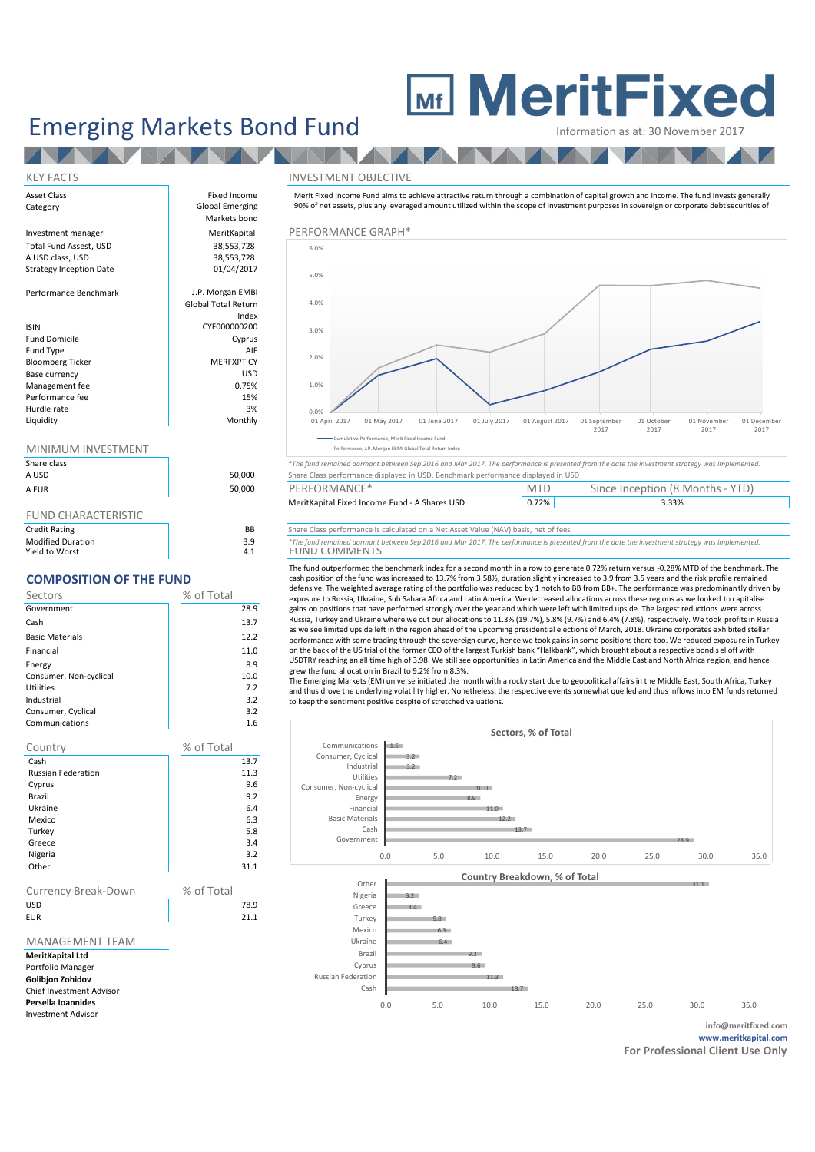## **MeritFixed**

Emerging Markets Bond Fund Information as at: 30 November 2017

#### KEY FACTS INVESTMENT OBJECTIVE

Merit Fixed Income Fund aims to achieve attractive return through a combination of capital growth and income. The fund invests generally 90% of net assets, plus any leveraged amount utilized within the scope of investment purposes in sovereign or corporate debt securities of



Share class *\*The fund remained dormant between Sep 2016 and Mar 2017. The performance is presented from the date the investment strategy was implemented.* Share Class performance displayed in USD, Benchmark performance displayed in USD

| A EUR | 50,000 | PERFORMANCE*                                  | <b>MTD</b> | Since Inception (8 Months - YTD) |  |
|-------|--------|-----------------------------------------------|------------|----------------------------------|--|
|       |        | MeritKapital Fixed Income Fund - A Shares USD | 0.72%      | 3.33%                            |  |

| Credit Rating            | BB                | Share Class performance is calculated on a Net Asset Value (NAV) basis, net of fees.                                                          |
|--------------------------|-------------------|-----------------------------------------------------------------------------------------------------------------------------------------------|
| <b>Modified Duration</b> | 2 Q<br><b>J.J</b> | *The fund remained dormant between Sep 2016 and Mar 2017. The performance is presented from the date the investment strategy was implemented. |
| Viold to Warrt           |                   | COMANAENT<br><b>LINID</b>                                                                                                                     |

The fund outperformed the benchmark index for a second month in a row to generate 0.72% return versus -0.28% MTD of the benchmark. The cash position of the fund was increased to 13.7% from 3.58%, duration slightly increased to 3.9 from 3.5 years and the risk profile remained defensive. The weighted average rating of the portfolio was reduced by 1 notch to BB from BB+. The performance was predominantly driven by exposure to Russia, Ukraine, Sub Sahara Africa and Latin America. We decreased allocations across these regions as we looked to capitalise gains on positions that have performed strongly over the year and which were left with limited upside. The largest reductions were across Russia, Turkey and Ukraine where we cut our allocations to 11.3% (19.7%), 5.8% (9.7%) and 6.4% (7.8%), respectively. We took profits in Russia as we see limited upside left in the region ahead of the upcoming presidential elections of March, 2018. Ukraine corporates exhibited stellar performance with some trading through the sovereign curve, hence we took gains in some positions there too. We reduced exposure in Turkey on the back of the US trial of the former CEO of the largest Turkish bank "Halkbank", which brought about a respective bond selloff with USDTRY reaching an all time high of 3.98. We still see opportunities in Latin America and the Middle East and North Africa region, and hence grew the fund allocation in Brazil to 9.2% from 8.3%.

The Emerging Markets (EM) universe initiated the month with a rocky start due to geopolitical affairs in the Middle East, South Africa, Turkey and thus drove the underlying volatility higher. Nonetheless, the respective events somewhat quelled and thus inflows into EM funds returned to keep the sentiment positive despite of stretched valuations.



| Asset Class                    | Fixed Income               | Merit Fixed Income Fund aims to    |  |  |
|--------------------------------|----------------------------|------------------------------------|--|--|
| Category                       | Global Emerging            | 90% of net assets, plus any levera |  |  |
|                                | Markets bond               |                                    |  |  |
| Investment manager             | MeritKapital               | PERFORMANCE GRAPH*                 |  |  |
| Total Fund Assest, USD         | 38,553,728                 | 6.0%                               |  |  |
| A USD class, USD               | 38,553,728                 |                                    |  |  |
| <b>Strategy Inception Date</b> | 01/04/2017                 | 5.0%                               |  |  |
| Performance Benchmark          | J.P. Morgan EMBI           |                                    |  |  |
|                                | <b>Global Total Return</b> | 4.0%                               |  |  |
|                                | Index                      |                                    |  |  |
| <b>ISIN</b>                    | CYF000000200               | 3.0%                               |  |  |
| <b>Fund Domicile</b>           | Cyprus                     |                                    |  |  |
| Fund Type                      | AIF                        | 2.0%                               |  |  |
| <b>Bloomberg Ticker</b>        | <b>MERFXPT CY</b>          |                                    |  |  |
| Base currency                  | <b>USD</b>                 |                                    |  |  |

### MINIMALIMA INVECTMENT

| <u>IVIIIVIIVIUIVI IIVVLJIIVILIVI</u> |  |
|--------------------------------------|--|
| Share class                          |  |
| A USD                                |  |
| <b>AFIIR</b>                         |  |

Management fee and the contract of the contract of the contract of the contract of the contract of the contract of the contract of the contract of the contract of the contract of the contract of the contract of the contrac Performance fee 15% Hurdle rate 3% Liquidity **Monthly** Monthly

### FUND CHARACTERISTIC

| BB  | Share Class performance is |
|-----|----------------------------|
| 3.9 | *The fund remained dormant |
| 4.1 | <b>FUND COMMENTS</b>       |
|     |                            |

#### **COMPOSITION OF THE FUND**

| Sectors                | % of Total |
|------------------------|------------|
| Government             | 28.9       |
| Cash                   | 13.7       |
| <b>Basic Materials</b> | 12.2       |
| Financial              | 11.0       |
| Energy                 | 8.9        |
| Consumer, Non-cyclical | 10.0       |
| <b>Utilities</b>       | 7.2        |
| Industrial             | 3.2        |
| Consumer, Cyclical     | 3.2        |
| Communications         | 1.6        |

| Country                   | % of Total |
|---------------------------|------------|
| Cash                      | 13.7       |
| <b>Russian Federation</b> | 11.3       |
| Cyprus                    | 9.6        |
| Brazil                    | 9.2        |
| Ukraine                   | 6.4        |
| Mexico                    | 6.3        |
| Turkey                    | 5.8        |
| Greece                    | 3.4        |
| Nigeria                   | 3.2        |
| Other                     | 31.1       |
|                           |            |

| <b>Currency Break-Down</b> | % of Total |
|----------------------------|------------|
| <b>USD</b>                 | 78.9       |
| EUR                        | 21.1       |

#### MANAGEMENT TEAM

**MeritKapital Ltd** Portfolio Manager **Golibjon Zohidov** Chief Investment Advisor **Persella Ioannides**

Investment Advisor